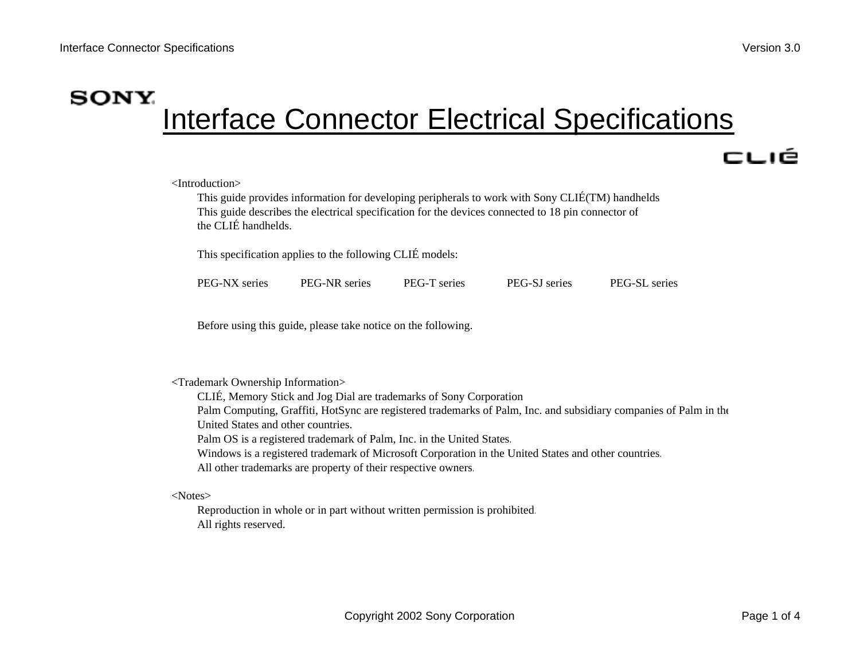# **SONY** Interface Connector Electrical Specifications

## cué

<Introduction>

This guide provides information for developing peripherals to work with Sony CLIÉ(TM) handhelds This guide describes the electrical specification for the devices connected to 18 pin connector of the CLIÉ handhelds.

This specification applies to the following CLIÉ models:

|  | PEG-NX series | <b>PEG-NR</b> series | <b>PEG-T</b> series | PEG-SJ series | PEG-SL series |
|--|---------------|----------------------|---------------------|---------------|---------------|
|--|---------------|----------------------|---------------------|---------------|---------------|

Before using this guide, please take notice on the following.

#### <Trademark Ownership Information>

CLIÉ, Memory Stick and Jog Dial are trademarks of Sony Corporation Palm Computing, Graffiti, HotSync are registered trademarks of Palm, Inc. and subsidiary companies of Palm in the United States and other countries.Palm OS is a registered trademark of Palm, Inc. in the United States.

Windows is a registered trademark of Microsoft Corporation in the United States and other countries.

All other trademarks are property of their respective owners.

<Notes>

Reproduction in whole or in part without written permission is prohibited. All rights reserved.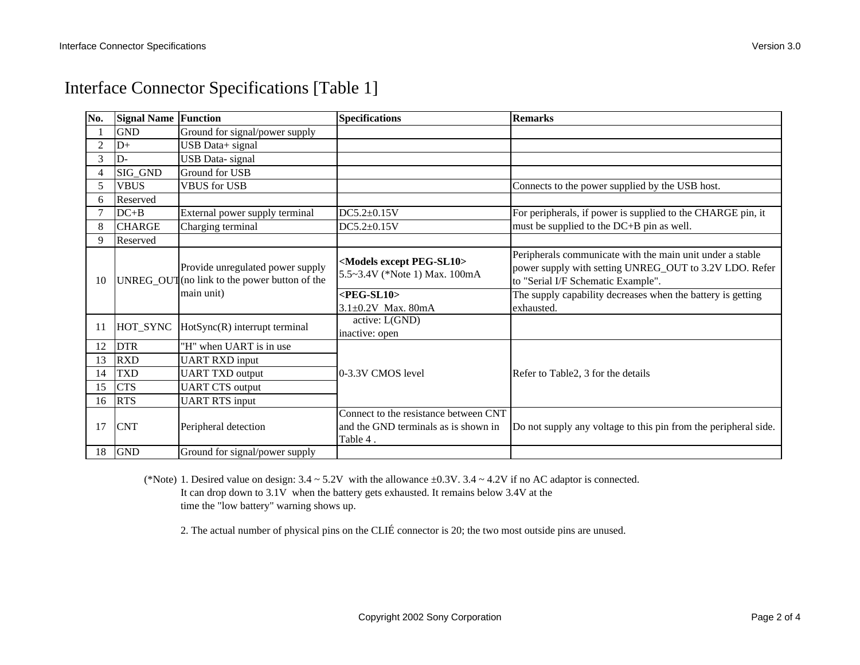| Interface Connector Specifications [Table 1] |  |  |  |  |
|----------------------------------------------|--|--|--|--|
|----------------------------------------------|--|--|--|--|

| No. | <b>Signal Name Function</b> |                                                                                   | <b>Specifications</b>                                                                     | <b>Remarks</b>                                                                                                                                            |
|-----|-----------------------------|-----------------------------------------------------------------------------------|-------------------------------------------------------------------------------------------|-----------------------------------------------------------------------------------------------------------------------------------------------------------|
|     | <b>GND</b>                  | Ground for signal/power supply                                                    |                                                                                           |                                                                                                                                                           |
| 2   | $D+$                        | USB Data+ signal                                                                  |                                                                                           |                                                                                                                                                           |
| 3   | $D -$                       | <b>USB</b> Data-signal                                                            |                                                                                           |                                                                                                                                                           |
|     | SIG_GND                     | Ground for USB                                                                    |                                                                                           |                                                                                                                                                           |
| 5   | <b>VBUS</b>                 | <b>VBUS</b> for USB                                                               |                                                                                           | Connects to the power supplied by the USB host.                                                                                                           |
| 6   | Reserved                    |                                                                                   |                                                                                           |                                                                                                                                                           |
|     | $DC + B$                    | External power supply terminal                                                    | $DC5.2 \pm 0.15V$                                                                         | For peripherals, if power is supplied to the CHARGE pin, it                                                                                               |
| 8   | <b>CHARGE</b>               | Charging terminal                                                                 | $DC5.2+0.15V$                                                                             | must be supplied to the DC+B pin as well.                                                                                                                 |
| 9   | Reserved                    |                                                                                   |                                                                                           |                                                                                                                                                           |
| 10  |                             | Provide unregulated power supply<br>UNREG_OUT (no link to the power button of the | <models except="" peg-sl10=""><br/>5.5~3.4V (*Note 1) Max. 100mA</models>                 | Peripherals communicate with the main unit under a stable<br>power supply with setting UNREG_OUT to 3.2V LDO. Refer<br>to "Serial I/F Schematic Example". |
|     |                             | main unit)                                                                        | $<$ PEG-SL10>                                                                             | The supply capability decreases when the battery is getting                                                                                               |
|     |                             |                                                                                   | $3.1\pm0.2V$ Max. 80mA                                                                    | exhausted.                                                                                                                                                |
| 11  | HOT_SYNC                    | HotSync(R) interrupt terminal                                                     | active: L(GND)<br>inactive: open                                                          |                                                                                                                                                           |
| 12  | <b>DTR</b>                  | "H" when UART is in use                                                           |                                                                                           |                                                                                                                                                           |
| 13  | <b>RXD</b>                  | <b>UART RXD input</b>                                                             |                                                                                           |                                                                                                                                                           |
| 14  | <b>TXD</b>                  | <b>UART TXD output</b>                                                            | 0-3.3V CMOS level                                                                         | Refer to Table2, 3 for the details                                                                                                                        |
| 15  | <b>CTS</b>                  | <b>UART CTS</b> output                                                            |                                                                                           |                                                                                                                                                           |
| 16  | <b>RTS</b>                  | <b>UART RTS input</b>                                                             |                                                                                           |                                                                                                                                                           |
| 17  | <b>CNT</b>                  | Peripheral detection                                                              | Connect to the resistance between CNT<br>and the GND terminals as is shown in<br>Table 4. | Do not supply any voltage to this pin from the peripheral side.                                                                                           |
| 18  | <b>GND</b>                  | Ground for signal/power supply                                                    |                                                                                           |                                                                                                                                                           |

(\*Note) 1. Desired value on design:  $3.4 \sim 5.2V$  with the allowance  $\pm 0.3V$ .  $3.4 \sim 4.2V$  if no AC adaptor is connected. It can drop down to 3.1V when the battery gets exhausted. It remains below 3.4V at the time the "low battery" warning shows up.

2. The actual number of physical pins on the CLIÉ connector is 20; the two most outside pins are unused.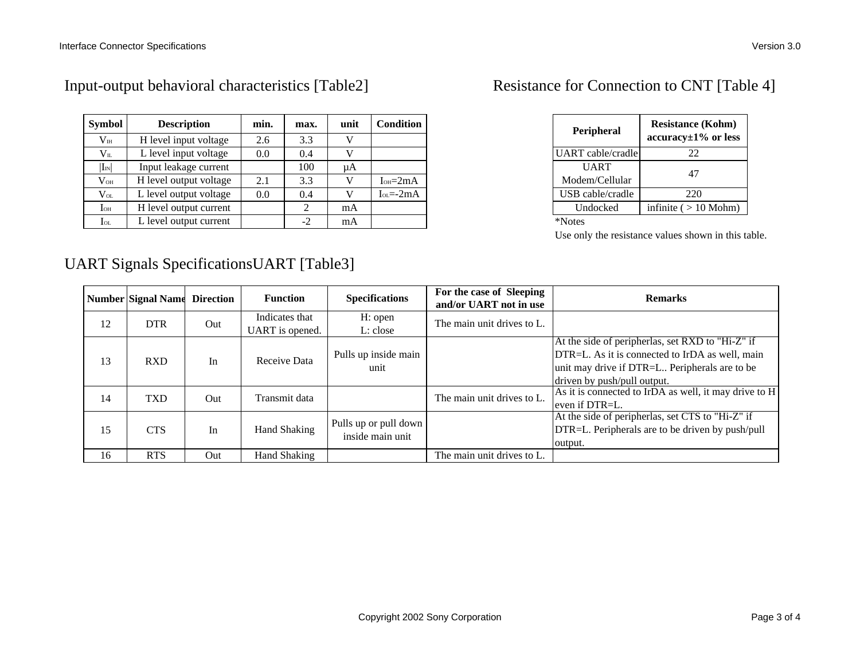| <b>Symbol</b>                    | <b>Description</b>     | min. | max. | unit | <b>Condition</b> |
|----------------------------------|------------------------|------|------|------|------------------|
| $\rm V_{\rm IH}$                 | H level input voltage  | 2.6  | 3.3  |      |                  |
| $\rm V_{II}$                     | L level input voltage  | 0.0  | 0.4  |      |                  |
| $ I_{\scriptscriptstyle\rm IN} $ | Input leakage current  |      | 100  | иA   |                  |
| $\rm V_{OH}$                     | H level output voltage | 2.1  | 3.3  | V    | $IOH=2mA$        |
| $\rm V_{OL}$                     | L level output voltage | 0.0  | 0.4  |      | $I_{0I} = -2mA$  |
| $I_{OH}$                         | H level output current |      | 2    | mA   |                  |
| $_{\rm IoL}$                     | L level output current |      | $-2$ | mA   |                  |

#### Input-output behavioral characteristics [Table2] Resistance for Connection to CNT [Table 4]

## UART Signals SpecificationsUART [Table3]

| Peripheral           | <b>Resistance (Kohm)</b><br>$accuracy \pm 1\%$ or less |  |  |  |
|----------------------|--------------------------------------------------------|--|--|--|
| UART cable/cradle    | 22.                                                    |  |  |  |
| UART                 | 47                                                     |  |  |  |
| Modem/Cellular       |                                                        |  |  |  |
| USB cable/cradle     | 220                                                    |  |  |  |
| Undocked             | infinite $($ > 10 Mohm)                                |  |  |  |
| <b>JAT</b><br>$\sim$ |                                                        |  |  |  |

\*Notes

Use only the resistance values shown in this table.

|    | <b>Number Signal Name Direction</b> |     | <b>Function</b> | <b>Specifications</b> | For the case of Sleeping<br>and/or UART not in use | <b>Remarks</b>                                        |
|----|-------------------------------------|-----|-----------------|-----------------------|----------------------------------------------------|-------------------------------------------------------|
| 12 | <b>DTR</b>                          | Out | Indicates that  | H: open               | The main unit drives to L.                         |                                                       |
|    |                                     |     | UART is opened. | L: close              |                                                    |                                                       |
|    |                                     |     |                 |                       |                                                    | At the side of peripherlas, set RXD to "Hi-Z" if      |
| 13 | <b>RXD</b>                          | In  | Receive Data    | Pulls up inside main  |                                                    | DTR=L. As it is connected to IrDA as well, main       |
|    |                                     |     |                 | unit                  |                                                    | unit may drive if DTR=L Peripherals are to be         |
|    |                                     |     |                 |                       |                                                    | driven by push/pull output.                           |
| 14 | <b>TXD</b>                          | Out | Transmit data   |                       | The main unit drives to L.                         | As it is connected to IrDA as well, it may drive to H |
|    |                                     |     |                 |                       |                                                    | even if DTR=L.                                        |
|    |                                     |     |                 | Pulls up or pull down |                                                    | At the side of peripherlas, set CTS to "Hi-Z" if      |
| 15 | <b>CTS</b>                          | In  | Hand Shaking    | inside main unit      |                                                    | DTR=L. Peripherals are to be driven by push/pull      |
|    |                                     |     |                 |                       |                                                    | output.                                               |
| 16 | <b>RTS</b>                          | Out | Hand Shaking    |                       | The main unit drives to L.                         |                                                       |